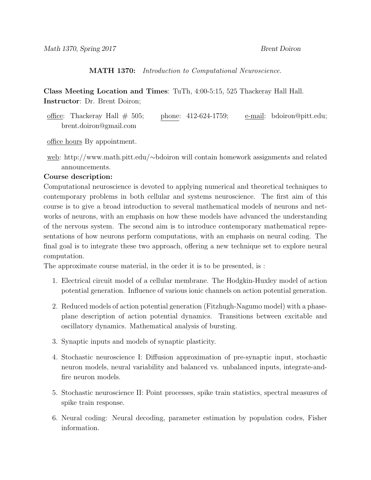MATH 1370: Introduction to Computational Neuroscience.

Class Meeting Location and Times: TuTh, 4:00-5:15, 525 Thackeray Hall Hall. Instructor: Dr. Brent Doiron;

office: Thackeray Hall  $\#$  505; phone: 412-624-1759; e-mail: bdoiron@pitt.edu; brent.doiron@gmail.com

office hours By appointment.

web: http://www.math.pitt.edu/∼bdoiron will contain homework assignments and related announcements.

## Course description:

Computational neuroscience is devoted to applying numerical and theoretical techniques to contemporary problems in both cellular and systems neuroscience. The first aim of this course is to give a broad introduction to several mathematical models of neurons and networks of neurons, with an emphasis on how these models have advanced the understanding of the nervous system. The second aim is to introduce contemporary mathematical representations of how neurons perform computations, with an emphasis on neural coding. The final goal is to integrate these two approach, offering a new technique set to explore neural computation.

The approximate course material, in the order it is to be presented, is :

- 1. Electrical circuit model of a cellular membrane. The Hodgkin-Huxley model of action potential generation. Influence of various ionic channels on action potential generation.
- 2. Reduced models of action potential generation (Fitzhugh-Nagumo model) with a phaseplane description of action potential dynamics. Transitions between excitable and oscillatory dynamics. Mathematical analysis of bursting.
- 3. Synaptic inputs and models of synaptic plasticity.
- 4. Stochastic neuroscience I: Diffusion approximation of pre-synaptic input, stochastic neuron models, neural variability and balanced vs. unbalanced inputs, integrate-andfire neuron models.
- 5. Stochastic neuroscience II: Point processes, spike train statistics, spectral measures of spike train response.
- 6. Neural coding: Neural decoding, parameter estimation by population codes, Fisher information.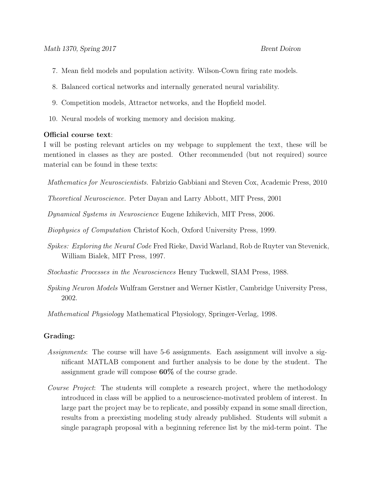- 7. Mean field models and population activity. Wilson-Cown firing rate models.
- 8. Balanced cortical networks and internally generated neural variability.
- 9. Competition models, Attractor networks, and the Hopfield model.
- 10. Neural models of working memory and decision making.

## Official course text:

I will be posting relevant articles on my webpage to supplement the text, these will be mentioned in classes as they are posted. Other recommended (but not required) source material can be found in these texts:

Mathematics for Neuroscientists. Fabrizio Gabbiani and Steven Cox, Academic Press, 2010

Theoretical Neuroscience. Peter Dayan and Larry Abbott, MIT Press, 2001

Dynamical Systems in Neuroscience Eugene Izhikevich, MIT Press, 2006.

Biophysics of Computation Christof Koch, Oxford University Press, 1999.

Spikes: Exploring the Neural Code Fred Rieke, David Warland, Rob de Ruyter van Stevenick, William Bialek, MIT Press, 1997.

Stochastic Processes in the Neurosciences Henry Tuckwell, SIAM Press, 1988.

Spiking Neuron Models Wulfram Gerstner and Werner Kistler, Cambridge University Press, 2002.

Mathematical Physiology Mathematical Physiology, Springer-Verlag, 1998.

## Grading:

- Assignments: The course will have 5-6 assignments. Each assignment will involve a significant MATLAB component and further analysis to be done by the student. The assignment grade will compose 60% of the course grade.
- Course Project: The students will complete a research project, where the methodology introduced in class will be applied to a neuroscience-motivated problem of interest. In large part the project may be to replicate, and possibly expand in some small direction, results from a preexisting modeling study already published. Students will submit a single paragraph proposal with a beginning reference list by the mid-term point. The